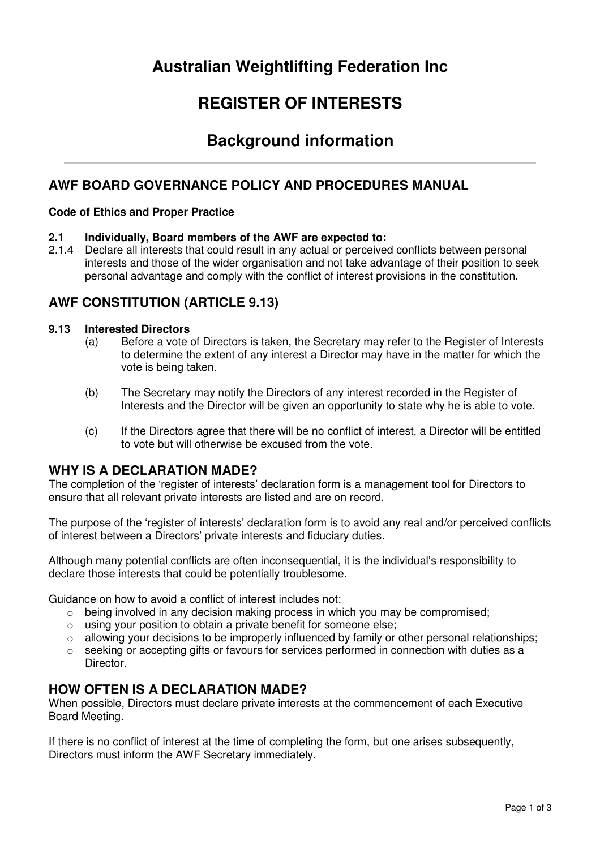# **Australian Weightlifting Federation Inc**

# **REGISTER OF INTERESTS**

## **Background information**

## **AWF BOARD GOVERNANCE POLICY AND PROCEDURES MANUAL**

#### **Code of Ethics and Proper Practice**

#### **2.1 Individually, Board members of the AWF are expected to:**

2.1.4 Declare all interests that could result in any actual or perceived conflicts between personal interests and those of the wider organisation and not take advantage of their position to seek personal advantage and comply with the conflict of interest provisions in the constitution.

## **AWF CONSTITUTION (ARTICLE 9.13)**

#### **9.13 Interested Directors**

- (a) Before a vote of Directors is taken, the Secretary may refer to the Register of Interests to determine the extent of any interest a Director may have in the matter for which the vote is being taken.
- (b) The Secretary may notify the Directors of any interest recorded in the Register of Interests and the Director will be given an opportunity to state why he is able to vote.
- (c) If the Directors agree that there will be no conflict of interest, a Director will be entitled to vote but will otherwise be excused from the vote.

### **WHY IS A DECLARATION MADE?**

The completion of the 'register of interests' declaration form is a management tool for Directors to ensure that all relevant private interests are listed and are on record.

The purpose of the 'register of interests' declaration form is to avoid any real and/or perceived conflicts of interest between a Directors' private interests and fiduciary duties.

Although many potential conflicts are often inconsequential, it is the individual's responsibility to declare those interests that could be potentially troublesome.

Guidance on how to avoid a conflict of interest includes not:

- $\circ$  being involved in any decision making process in which you may be compromised;
- $\circ$  using your position to obtain a private benefit for someone else:
- o allowing your decisions to be improperly influenced by family or other personal relationships;
- $\circ$  seeking or accepting gifts or favours for services performed in connection with duties as a Director.

### **HOW OFTEN IS A DECLARATION MADE?**

When possible, Directors must declare private interests at the commencement of each Executive Board Meeting.

If there is no conflict of interest at the time of completing the form, but one arises subsequently, Directors must inform the AWF Secretary immediately.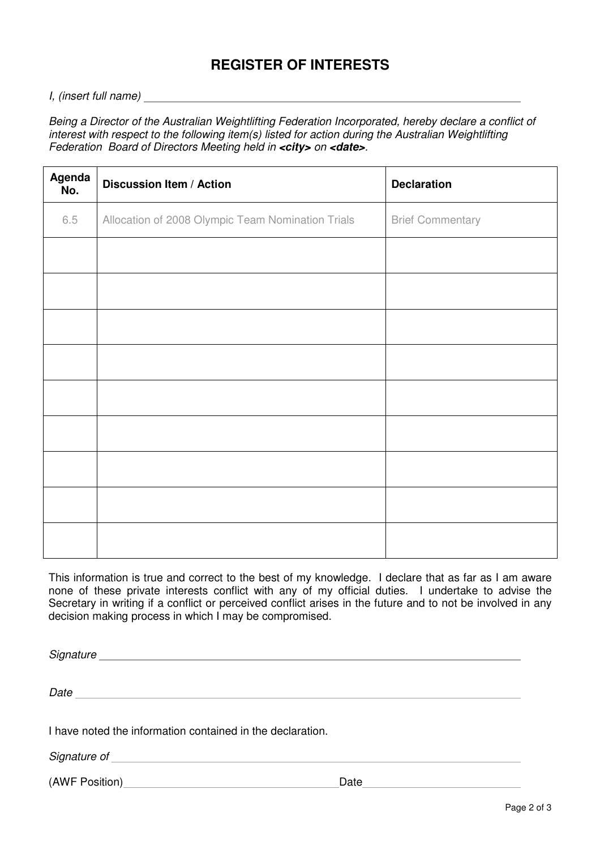## **REGISTER OF INTERESTS**

#### I, (insert full name)

Being a Director of the Australian Weightlifting Federation Incorporated, hereby declare a conflict of interest with respect to the following item(s) listed for action during the Australian Weightlifting Federation Board of Directors Meeting held in **<city>** on **<date>**.

| Agenda<br>No. | <b>Discussion Item / Action</b>                   | <b>Declaration</b>      |
|---------------|---------------------------------------------------|-------------------------|
| 6.5           | Allocation of 2008 Olympic Team Nomination Trials | <b>Brief Commentary</b> |
|               |                                                   |                         |
|               |                                                   |                         |
|               |                                                   |                         |
|               |                                                   |                         |
|               |                                                   |                         |
|               |                                                   |                         |
|               |                                                   |                         |
|               |                                                   |                         |
|               |                                                   |                         |

This information is true and correct to the best of my knowledge. I declare that as far as I am aware none of these private interests conflict with any of my official duties. I undertake to advise the Secretary in writing if a conflict or perceived conflict arises in the future and to not be involved in any decision making process in which I may be compromised.

Signature experiments and the state of the state of the state of the state of the state of the state of the state of the state of the state of the state of the state of the state of the state of the state of the state of t

Date

I have noted the information contained in the declaration.

Signature of the state of the state of the state of the state of the state of the state of the state of the state of the state of the state of the state of the state of the state of the state of the state of the state of t

(AWF Position) Date